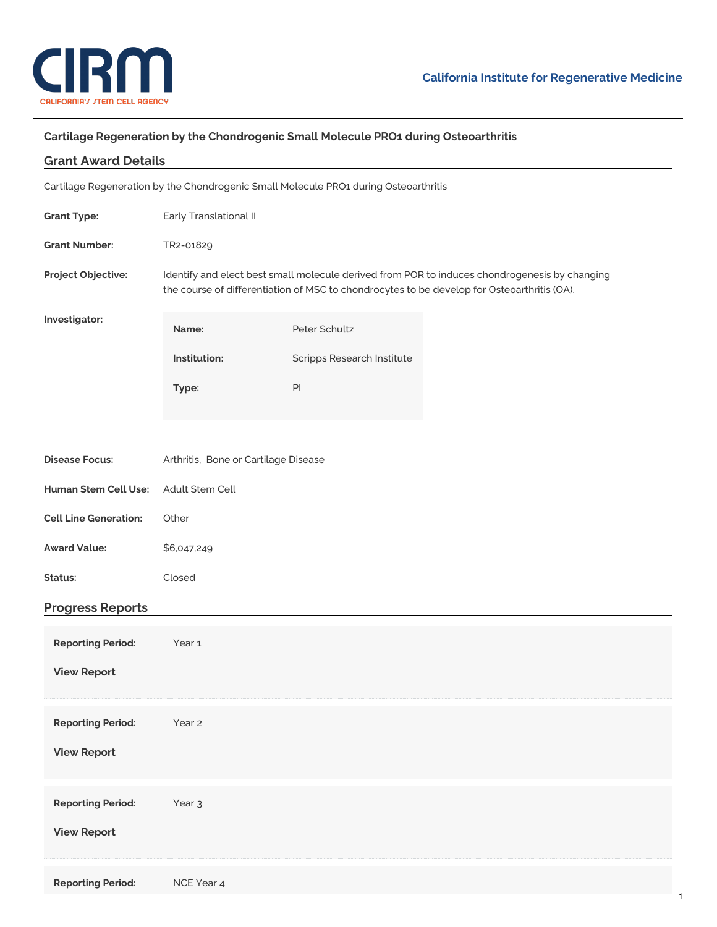

## **Cartilage Regeneration by the Chondrogenic Small Molecule PRO1 during Osteoarthritis**

| <b>Grant Award Details</b>                                                           |                                                                                                                                                                                              |                            |  |
|--------------------------------------------------------------------------------------|----------------------------------------------------------------------------------------------------------------------------------------------------------------------------------------------|----------------------------|--|
| Cartilage Regeneration by the Chondrogenic Small Molecule PRO1 during Osteoarthritis |                                                                                                                                                                                              |                            |  |
| <b>Grant Type:</b>                                                                   | Early Translational II                                                                                                                                                                       |                            |  |
| <b>Grant Number:</b>                                                                 | TR2-01829                                                                                                                                                                                    |                            |  |
| Project Objective:                                                                   | Identify and elect best small molecule derived from POR to induces chondrogenesis by changing<br>the course of differentiation of MSC to chondrocytes to be develop for Osteoarthritis (OA). |                            |  |
| Investigator:                                                                        | Name:                                                                                                                                                                                        | Peter Schultz              |  |
|                                                                                      | Institution:                                                                                                                                                                                 | Scripps Research Institute |  |
|                                                                                      | Type:                                                                                                                                                                                        | $\mathsf{Pl}$              |  |
|                                                                                      |                                                                                                                                                                                              |                            |  |
| <b>Disease Focus:</b>                                                                | Arthritis, Bone or Cartilage Disease                                                                                                                                                         |                            |  |
| Human Stem Cell Use:                                                                 | Adult Stem Cell                                                                                                                                                                              |                            |  |
| <b>Cell Line Generation:</b>                                                         | Other                                                                                                                                                                                        |                            |  |
| <b>Award Value:</b>                                                                  | \$6,047,249                                                                                                                                                                                  |                            |  |
| Status:                                                                              | Closed                                                                                                                                                                                       |                            |  |
| <b>Progress Reports</b>                                                              |                                                                                                                                                                                              |                            |  |
| <b>Reporting Period:</b>                                                             | Year <sub>1</sub>                                                                                                                                                                            |                            |  |
| <b>View Report</b>                                                                   |                                                                                                                                                                                              |                            |  |
| <b>Reporting Period:</b>                                                             | Year 2                                                                                                                                                                                       |                            |  |
| <b>View Report</b>                                                                   |                                                                                                                                                                                              |                            |  |
|                                                                                      |                                                                                                                                                                                              |                            |  |
| <b>Reporting Period:</b>                                                             | Year <sub>3</sub>                                                                                                                                                                            |                            |  |
| <b>View Report</b>                                                                   |                                                                                                                                                                                              |                            |  |
| <b>Reporting Period:</b>                                                             | NCE Year 4                                                                                                                                                                                   |                            |  |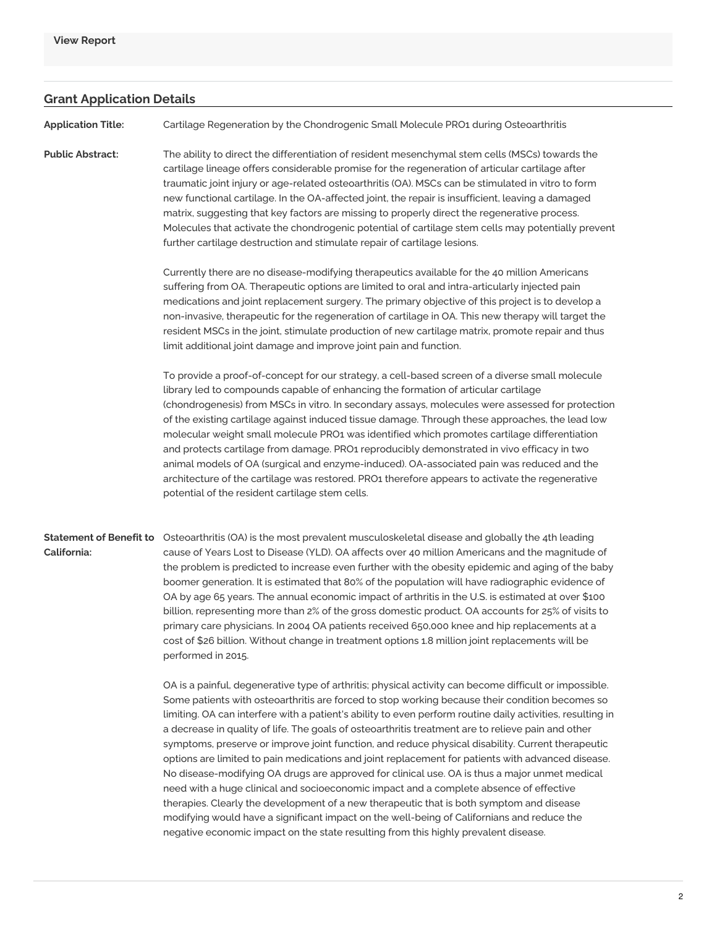## **Grant Application Details**

**Application Title:** Cartilage Regeneration by the Chondrogenic Small Molecule PRO1 during Osteoarthritis

**Public Abstract:** The ability to direct the differentiation of resident mesenchymal stem cells (MSCs) towards the cartilage lineage offers considerable promise for the regeneration of articular cartilage after traumatic joint injury or age-related osteoarthritis (OA). MSCs can be stimulated in vitro to form new functional cartilage. In the OA-affected joint, the repair is insufficient, leaving a damaged matrix, suggesting that key factors are missing to properly direct the regenerative process. Molecules that activate the chondrogenic potential of cartilage stem cells may potentially prevent further cartilage destruction and stimulate repair of cartilage lesions.

> Currently there are no disease-modifying therapeutics available for the 40 million Americans suffering from OA. Therapeutic options are limited to oral and intra-articularly injected pain medications and joint replacement surgery. The primary objective of this project is to develop a non-invasive, therapeutic for the regeneration of cartilage in OA. This new therapy will target the resident MSCs in the joint, stimulate production of new cartilage matrix, promote repair and thus limit additional joint damage and improve joint pain and function.

To provide a proof-of-concept for our strategy, a cell-based screen of a diverse small molecule library led to compounds capable of enhancing the formation of articular cartilage (chondrogenesis) from MSCs in vitro. In secondary assays, molecules were assessed for protection of the existing cartilage against induced tissue damage. Through these approaches, the lead low molecular weight small molecule PRO1 was identified which promotes cartilage differentiation and protects cartilage from damage. PRO1 reproducibly demonstrated in vivo efficacy in two animal models of OA (surgical and enzyme-induced). OA-associated pain was reduced and the architecture of the cartilage was restored. PRO1 therefore appears to activate the regenerative potential of the resident cartilage stem cells.

**California:**

**Statement of Benefit to** Osteoarthritis (OA) is the most prevalent musculoskeletal disease and globally the 4th leading cause of Years Lost to Disease (YLD). OA affects over 40 million Americans and the magnitude of the problem is predicted to increase even further with the obesity epidemic and aging of the baby boomer generation. It is estimated that 80% of the population will have radiographic evidence of OA by age 65 years. The annual economic impact of arthritis in the U.S. is estimated at over \$100 billion, representing more than 2% of the gross domestic product. OA accounts for 25% of visits to primary care physicians. In 2004 OA patients received 650,000 knee and hip replacements at a cost of \$26 billion. Without change in treatment options 1.8 million joint replacements will be performed in 2015.

> OA is a painful, degenerative type of arthritis; physical activity can become difficult or impossible. Some patients with osteoarthritis are forced to stop working because their condition becomes so limiting. OA can interfere with a patient's ability to even perform routine daily activities, resulting in a decrease in quality of life. The goals of osteoarthritis treatment are to relieve pain and other symptoms, preserve or improve joint function, and reduce physical disability. Current therapeutic options are limited to pain medications and joint replacement for patients with advanced disease. No disease-modifying OA drugs are approved for clinical use. OA is thus a major unmet medical need with a huge clinical and socioeconomic impact and a complete absence of effective therapies. Clearly the development of a new therapeutic that is both symptom and disease modifying would have a significant impact on the well-being of Californians and reduce the negative economic impact on the state resulting from this highly prevalent disease.